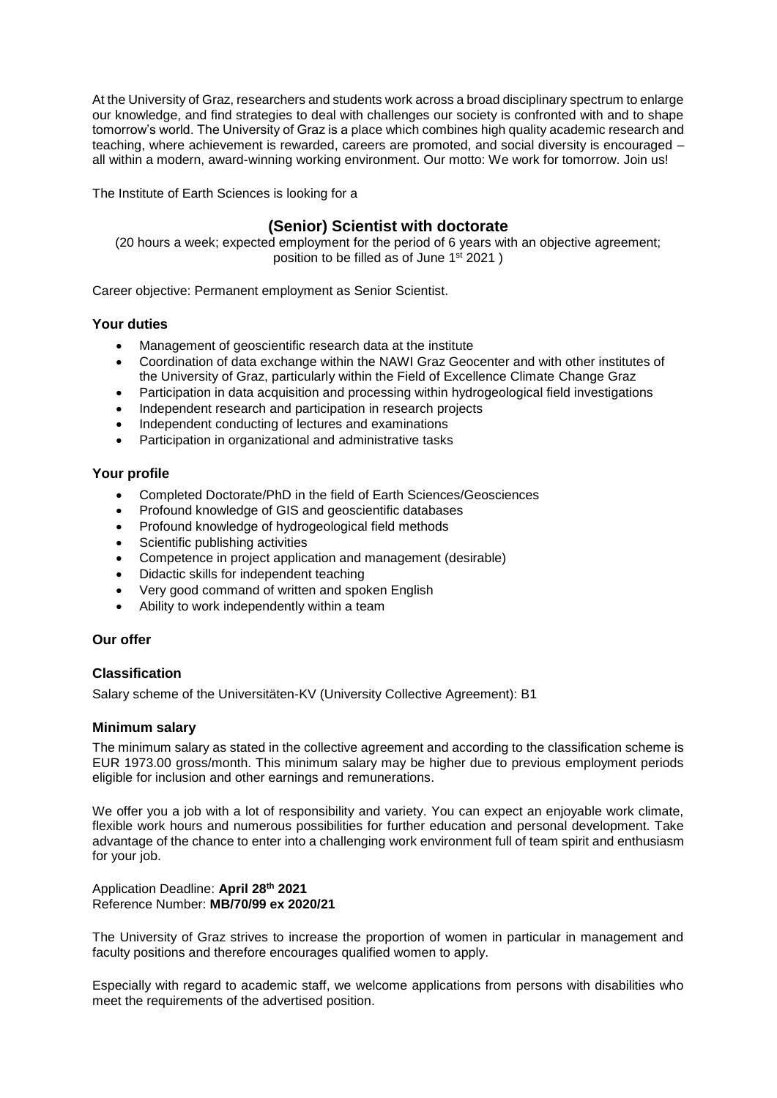At the University of Graz, researchers and students work across a broad disciplinary spectrum to enlarge our knowledge, and find strategies to deal with challenges our society is confronted with and to shape tomorrow's world. The University of Graz is a place which combines high quality academic research and teaching, where achievement is rewarded, careers are promoted, and social diversity is encouraged – all within a modern, award-winning working environment. Our motto: We work for tomorrow. Join us!

The Institute of Earth Sciences is looking for a

# **(Senior) Scientist with doctorate**

(20 hours a week; expected employment for the period of 6 years with an objective agreement; position to be filled as of June 1<sup>st</sup> 2021)

Career objective: Permanent employment as Senior Scientist.

### **Your duties**

- Management of geoscientific research data at the institute
- Coordination of data exchange within the NAWI Graz Geocenter and with other institutes of the University of Graz, particularly within the Field of Excellence Climate Change Graz
- Participation in data acquisition and processing within hydrogeological field investigations
- Independent research and participation in research projects
- Independent conducting of lectures and examinations
- Participation in organizational and administrative tasks

### **Your profile**

- Completed Doctorate/PhD in the field of Earth Sciences/Geosciences
- Profound knowledge of GIS and geoscientific databases
- Profound knowledge of hydrogeological field methods
- Scientific publishing activities
- Competence in project application and management (desirable)
- Didactic skills for independent teaching
- Very good command of written and spoken English
- Ability to work independently within a team

## **Our offer**

## **Classification**

Salary scheme of the Universitäten-KV (University Collective Agreement): B1

#### **Minimum salary**

The minimum salary as stated in the collective agreement and according to the classification scheme is EUR 1973.00 gross/month. This minimum salary may be higher due to previous employment periods eligible for inclusion and other earnings and remunerations.

We offer you a job with a lot of responsibility and variety. You can expect an enjoyable work climate, flexible work hours and numerous possibilities for further education and personal development. Take advantage of the chance to enter into a challenging work environment full of team spirit and enthusiasm for your job.

Application Deadline: **April 28th 2021** Reference Number: **MB/70/99 ex 2020/21**

The University of Graz strives to increase the proportion of women in particular in management and faculty positions and therefore encourages qualified women to apply.

Especially with regard to academic staff, we welcome applications from persons with disabilities who meet the requirements of the advertised position.